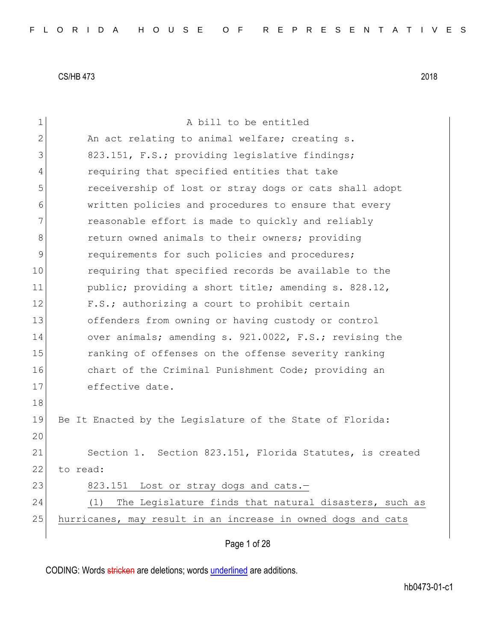| 1             | A bill to be entitled                                        |  |  |  |  |  |
|---------------|--------------------------------------------------------------|--|--|--|--|--|
| $\mathbf{2}$  | An act relating to animal welfare; creating s.               |  |  |  |  |  |
| 3             | 823.151, F.S.; providing legislative findings;               |  |  |  |  |  |
| 4             | requiring that specified entities that take                  |  |  |  |  |  |
| 5             | receivership of lost or stray dogs or cats shall adopt       |  |  |  |  |  |
| 6             |                                                              |  |  |  |  |  |
| 7             | written policies and procedures to ensure that every         |  |  |  |  |  |
|               | reasonable effort is made to quickly and reliably            |  |  |  |  |  |
| 8             | return owned animals to their owners; providing              |  |  |  |  |  |
| $\mathcal{G}$ | requirements for such policies and procedures;               |  |  |  |  |  |
| 10            | requiring that specified records be available to the         |  |  |  |  |  |
| 11            | public; providing a short title; amending s. 828.12,         |  |  |  |  |  |
| 12            | F.S.; authorizing a court to prohibit certain                |  |  |  |  |  |
| 13            | offenders from owning or having custody or control           |  |  |  |  |  |
| 14            | over animals; amending s. 921.0022, F.S.; revising the       |  |  |  |  |  |
| 15            | ranking of offenses on the offense severity ranking          |  |  |  |  |  |
| 16            | chart of the Criminal Punishment Code; providing an          |  |  |  |  |  |
| 17            | effective date.                                              |  |  |  |  |  |
| 18            |                                                              |  |  |  |  |  |
| 19            | Be It Enacted by the Legislature of the State of Florida:    |  |  |  |  |  |
| 20            |                                                              |  |  |  |  |  |
| 21            | Section 1. Section 823.151, Florida Statutes, is created     |  |  |  |  |  |
| 22            | to read:                                                     |  |  |  |  |  |
| 23            | 823.151<br>Lost or stray dogs and cats.-                     |  |  |  |  |  |
| 24            | The Legislature finds that natural disasters, such as<br>(1) |  |  |  |  |  |
| 25            | hurricanes, may result in an increase in owned dogs and cats |  |  |  |  |  |
|               |                                                              |  |  |  |  |  |
|               | Page 1 of 28                                                 |  |  |  |  |  |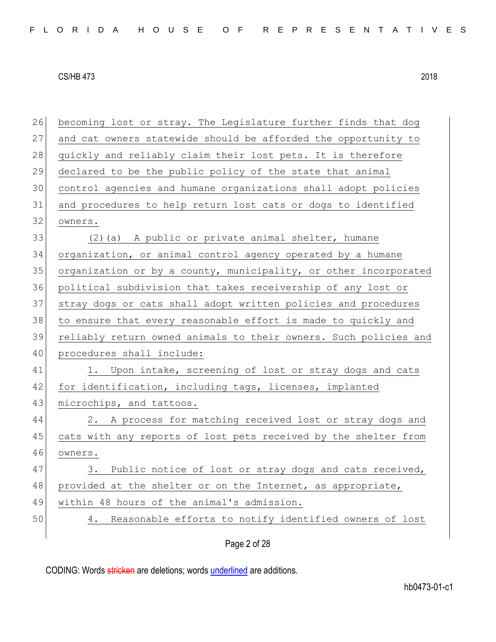| 26 | becoming lost or stray. The Legislature further finds that dog   |  |  |  |  |  |
|----|------------------------------------------------------------------|--|--|--|--|--|
| 27 | and cat owners statewide should be afforded the opportunity to   |  |  |  |  |  |
| 28 | quickly and reliably claim their lost pets. It is therefore      |  |  |  |  |  |
| 29 | declared to be the public policy of the state that animal        |  |  |  |  |  |
| 30 | control agencies and humane organizations shall adopt policies   |  |  |  |  |  |
| 31 | and procedures to help return lost cats or dogs to identified    |  |  |  |  |  |
| 32 | owners.                                                          |  |  |  |  |  |
| 33 | (2) (a) A public or private animal shelter, humane               |  |  |  |  |  |
| 34 | organization, or animal control agency operated by a humane      |  |  |  |  |  |
| 35 | organization or by a county, municipality, or other incorporated |  |  |  |  |  |
| 36 | political subdivision that takes receivership of any lost or     |  |  |  |  |  |
| 37 | stray dogs or cats shall adopt written policies and procedures   |  |  |  |  |  |
| 38 | to ensure that every reasonable effort is made to quickly and    |  |  |  |  |  |
| 39 | reliably return owned animals to their owners. Such policies and |  |  |  |  |  |
| 40 | procedures shall include:                                        |  |  |  |  |  |
| 41 | 1. Upon intake, screening of lost or stray dogs and cats         |  |  |  |  |  |
| 42 | for identification, including tags, licenses, implanted          |  |  |  |  |  |
| 43 | microchips, and tattoos.                                         |  |  |  |  |  |
| 44 | 2. A process for matching received lost or stray dogs and        |  |  |  |  |  |
| 45 | cats with any reports of lost pets received by the shelter from  |  |  |  |  |  |
| 46 | owners.                                                          |  |  |  |  |  |
| 47 | Public notice of lost or stray dogs and cats received,<br>3.     |  |  |  |  |  |
| 48 | provided at the shelter or on the Internet, as appropriate,      |  |  |  |  |  |
| 49 | within 48 hours of the animal's admission.                       |  |  |  |  |  |
| 50 | Reasonable efforts to notify identified owners of lost<br>4.     |  |  |  |  |  |
|    | Page 2 of 28                                                     |  |  |  |  |  |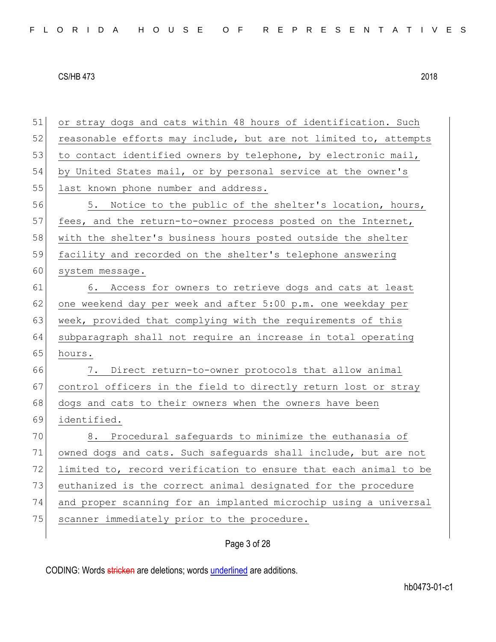51 or stray dogs and cats within 48 hours of identification. Such 52 reasonable efforts may include, but are not limited to, attempts 53 to contact identified owners by telephone, by electronic mail, 54 by United States mail, or by personal service at the owner's 55 last known phone number and address. 56 5. Notice to the public of the shelter's location, hours, 57 fees, and the return-to-owner process posted on the Internet, 58 with the shelter's business hours posted outside the shelter 59 facility and recorded on the shelter's telephone answering 60 system message. 61 6. Access for owners to retrieve dogs and cats at least 62 one weekend day per week and after 5:00 p.m. one weekday per 63 week, provided that complying with the requirements of this 64 subparagraph shall not require an increase in total operating 65 hours. 66 7. Direct return-to-owner protocols that allow animal 67 control officers in the field to directly return lost or stray 68 dogs and cats to their owners when the owners have been 69 identified. 70 8. Procedural safeguards to minimize the euthanasia of 71 owned dogs and cats. Such safeguards shall include, but are not 72 limited to, record verification to ensure that each animal to be 73 euthanized is the correct animal designated for the procedure 74 and proper scanning for an implanted microchip using a universal 75 scanner immediately prior to the procedure.

### Page 3 of 28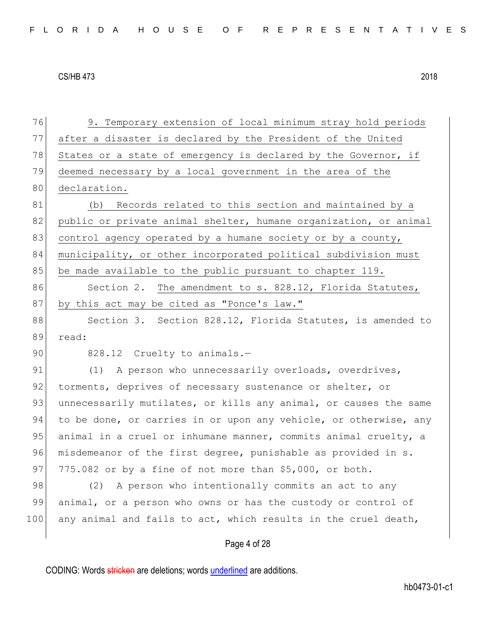Page 4 of 28 76 9. Temporary extension of local minimum stray hold periods 77 after a disaster is declared by the President of the United 78 States or a state of emergency is declared by the Governor, if 79 deemed necessary by a local government in the area of the 80 declaration. 81 (b) Records related to this section and maintained by a 82 public or private animal shelter, humane organization, or animal 83 control agency operated by a humane society or by a county, 84 municipality, or other incorporated political subdivision must 85 be made available to the public pursuant to chapter 119. 86 Section 2. The amendment to s. 828.12, Florida Statutes, 87 by this act may be cited as "Ponce's law." 88 Section 3. Section 828.12, Florida Statutes, is amended to 89 read: 90 828.12 Cruelty to animals.-91 (1) A person who unnecessarily overloads, overdrives, 92 torments, deprives of necessary sustenance or shelter, or 93 unnecessarily mutilates, or kills any animal, or causes the same 94 to be done, or carries in or upon any vehicle, or otherwise, any 95 animal in a cruel or inhumane manner, commits animal cruelty, a 96 misdemeanor of the first degree, punishable as provided in s. 97 775.082 or by a fine of not more than  $$5,000$ , or both. 98 (2) A person who intentionally commits an act to any 99 animal, or a person who owns or has the custody or control of 100 any animal and fails to act, which results in the cruel death,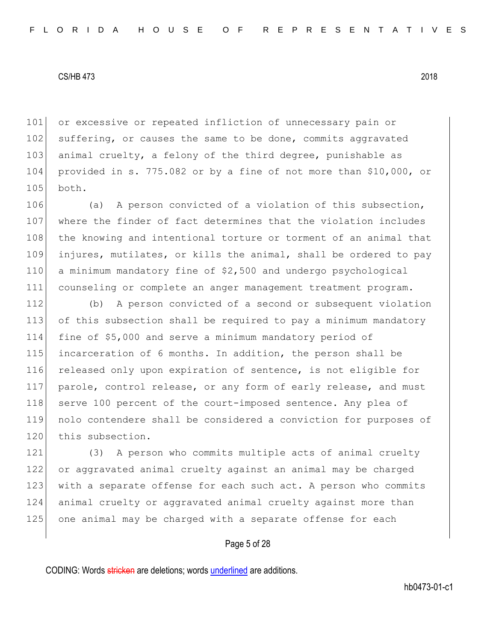101 or excessive or repeated infliction of unnecessary pain or 102 suffering, or causes the same to be done, commits aggravated 103 animal cruelty, a felony of the third degree, punishable as 104 provided in s. 775.082 or by a fine of not more than \$10,000, or 105 both.

106 (a) A person convicted of a violation of this subsection, where the finder of fact determines that the violation includes 108 the knowing and intentional torture or torment of an animal that injures, mutilates, or kills the animal, shall be ordered to pay a minimum mandatory fine of \$2,500 and undergo psychological counseling or complete an anger management treatment program.

112 (b) A person convicted of a second or subsequent violation 113 of this subsection shall be required to pay a minimum mandatory 114 fine of \$5,000 and serve a minimum mandatory period of 115 incarceration of 6 months. In addition, the person shall be 116 released only upon expiration of sentence, is not eligible for 117 | parole, control release, or any form of early release, and must 118 serve 100 percent of the court-imposed sentence. Any plea of 119 nolo contendere shall be considered a conviction for purposes of 120 this subsection.

121 (3) A person who commits multiple acts of animal cruelty 122 or aggravated animal cruelty against an animal may be charged 123 with a separate offense for each such act. A person who commits 124 animal cruelty or aggravated animal cruelty against more than 125 one animal may be charged with a separate offense for each

# Page 5 of 28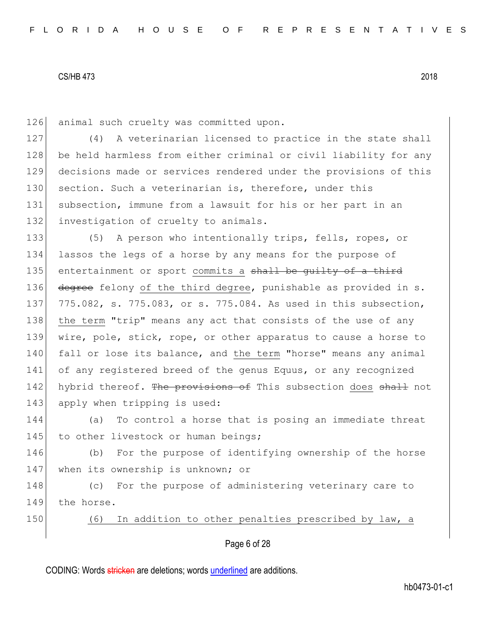126 animal such cruelty was committed upon.

127 (4) A veterinarian licensed to practice in the state shall 128 be held harmless from either criminal or civil liability for any 129 decisions made or services rendered under the provisions of this 130 section. Such a veterinarian is, therefore, under this 131 subsection, immune from a lawsuit for his or her part in an 132 investigation of cruelty to animals.

133 (5) A person who intentionally trips, fells, ropes, or 134 lassos the legs of a horse by any means for the purpose of 135 entertainment or sport commits a shall be quilty of a third 136 degree felony of the third degree, punishable as provided in s. 137 775.082, s. 775.083, or s. 775.084. As used in this subsection, 138 the term "trip" means any act that consists of the use of any 139 wire, pole, stick, rope, or other apparatus to cause a horse to 140 fall or lose its balance, and the term "horse" means any animal 141 of any registered breed of the genus Equus, or any recognized 142 hybrid thereof. The provisions of This subsection does shall not 143 apply when tripping is used:

144 (a) To control a horse that is posing an immediate threat 145 to other livestock or human beings;

146 (b) For the purpose of identifying ownership of the horse 147 when its ownership is unknown; or

148 (c) For the purpose of administering veterinary care to 149 the horse.

150 (6) In addition to other penalties prescribed by law, a

Page 6 of 28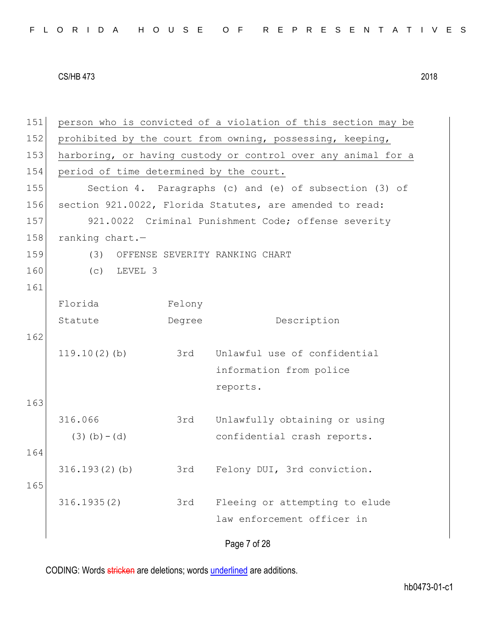| FLORIDA HOUSE OF REPRESENTATIVES |  |
|----------------------------------|--|
|----------------------------------|--|

Page 7 of 28 151 person who is convicted of a violation of this section may be 152 prohibited by the court from owning, possessing, keeping, 153 harboring, or having custody or control over any animal for a 154 period of time determined by the court. 155 Section 4. Paragraphs (c) and (e) of subsection (3) of 156 section 921.0022, Florida Statutes, are amended to read: 157 921.0022 Criminal Punishment Code; offense severity 158 ranking chart.-159 (3) OFFENSE SEVERITY RANKING CHART 160 (c) LEVEL 3 161 Florida Statute Felony Degree Description 162 119.10(2)(b) 3rd Unlawful use of confidential information from police reports. 163 316.066  $(3)(b)-(d)$ 3rd Unlawfully obtaining or using confidential crash reports. 164 316.193(2)(b) 3rd Felony DUI, 3rd conviction. 165 316.1935(2) 3rd Fleeing or attempting to elude law enforcement officer in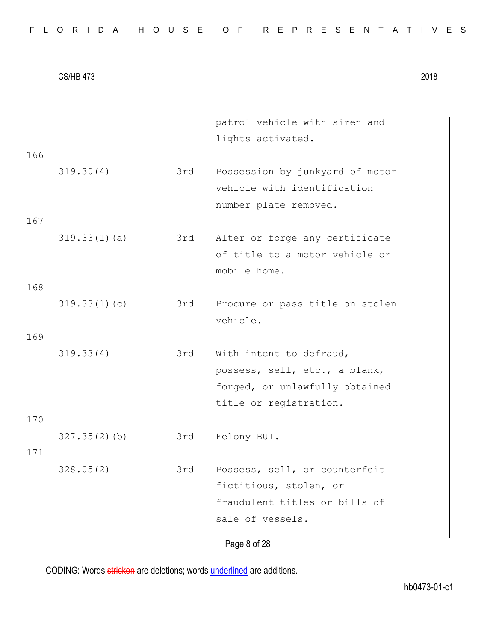| 166        |              |     | patrol vehicle with siren and<br>lights activated.                                                                   |
|------------|--------------|-----|----------------------------------------------------------------------------------------------------------------------|
|            | 319.30(4)    | 3rd | Possession by junkyard of motor<br>vehicle with identification<br>number plate removed.                              |
| 167        | 319.33(1)(a) | 3rd | Alter or forge any certificate<br>of title to a motor vehicle or<br>mobile home.                                     |
| 168<br>169 | 319.33(1)(c) | 3rd | Procure or pass title on stolen<br>vehicle.                                                                          |
| 170        | 319.33(4)    | 3rd | With intent to defraud,<br>possess, sell, etc., a blank,<br>forged, or unlawfully obtained<br>title or registration. |
| 171        | 327.35(2)(b) | 3rd | Felony BUI.                                                                                                          |
|            | 328.05(2)    | 3rd | Possess, sell, or counterfeit<br>fictitious, stolen, or<br>fraudulent titles or bills of<br>sale of vessels.         |
|            |              |     | Page 8 of 28                                                                                                         |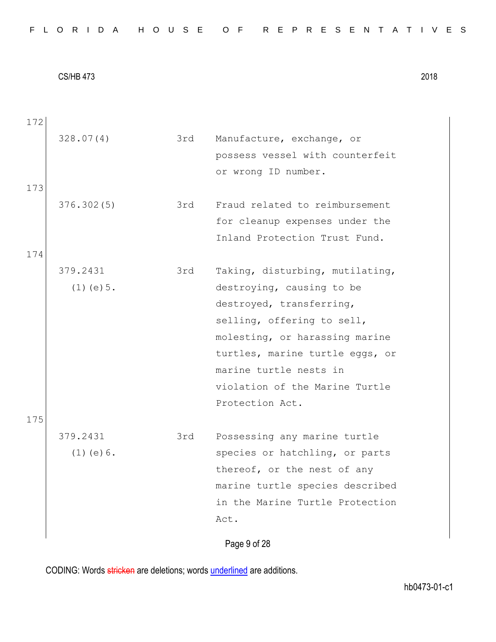Page 9 of 28 172 328.07(4) 3rd Manufacture, exchange, or possess vessel with counterfeit or wrong ID number. 173 376.302(5) 3rd Fraud related to reimbursement for cleanup expenses under the Inland Protection Trust Fund. 174 379.2431 (1)(e)5. 3rd Taking, disturbing, mutilating, destroying, causing to be destroyed, transferring, selling, offering to sell, molesting, or harassing marine turtles, marine turtle eggs, or marine turtle nests in violation of the Marine Turtle Protection Act. 175 379.2431 (1)(e)6. 3rd Possessing any marine turtle species or hatchling, or parts thereof, or the nest of any marine turtle species described in the Marine Turtle Protection Act.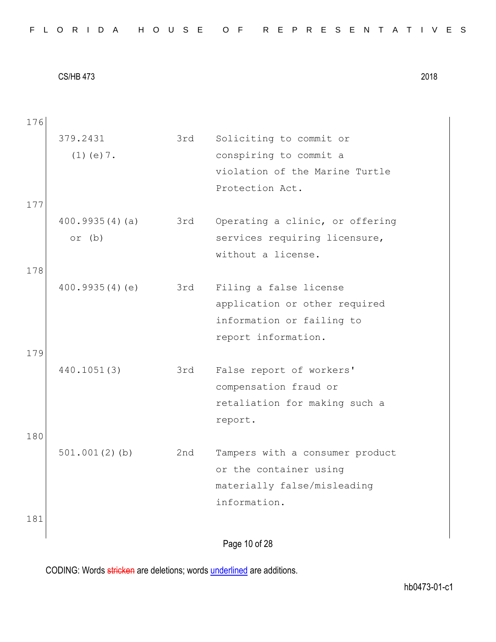| 176 |                  |     |                                 |
|-----|------------------|-----|---------------------------------|
|     | 379.2431         | 3rd | Soliciting to commit or         |
|     | $(1)$ (e) $7$ .  |     | conspiring to commit a          |
|     |                  |     | violation of the Marine Turtle  |
|     |                  |     | Protection Act.                 |
| 177 |                  |     |                                 |
|     | 400.9935(4)(a)   | 3rd | Operating a clinic, or offering |
|     | or $(b)$         |     | services requiring licensure,   |
|     |                  |     | without a license.              |
| 178 |                  |     |                                 |
|     | 400.9935(4)(e)   | 3rd | Filing a false license          |
|     |                  |     | application or other required   |
|     |                  |     | information or failing to       |
|     |                  |     | report information.             |
| 179 |                  |     |                                 |
|     | 440.1051(3)      | 3rd | False report of workers'        |
|     |                  |     | compensation fraud or           |
|     |                  |     | retaliation for making such a   |
|     |                  |     | report.                         |
| 180 |                  |     |                                 |
|     | $501.001(2)$ (b) | 2nd | Tampers with a consumer product |
|     |                  |     | or the container using          |
|     |                  |     | materially false/misleading     |
|     |                  |     | information.                    |
| 181 |                  |     |                                 |
|     |                  |     | Page 10 of 28                   |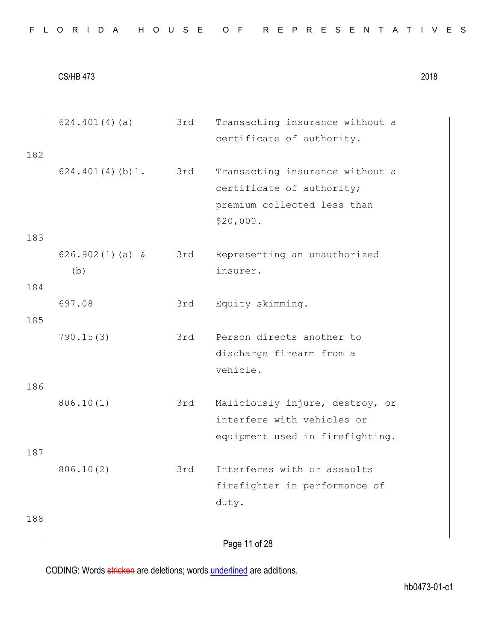|     | 624.401(4)(a)     | 3rd | Transacting insurance without a |
|-----|-------------------|-----|---------------------------------|
|     |                   |     | certificate of authority.       |
| 182 |                   |     |                                 |
|     | 624.401(4)(b)1.   | 3rd | Transacting insurance without a |
|     |                   |     | certificate of authority;       |
|     |                   |     | premium collected less than     |
|     |                   |     | \$20,000.                       |
|     |                   |     |                                 |
| 183 |                   |     |                                 |
|     | $626.902(1)(a)$ & | 3rd | Representing an unauthorized    |
|     | (b)               |     | insurer.                        |
| 184 |                   |     |                                 |
|     | 697.08            | 3rd | Equity skimming.                |
| 185 |                   |     |                                 |
|     | 790.15(3)         | 3rd | Person directs another to       |
|     |                   |     | discharge firearm from a        |
|     |                   |     | vehicle.                        |
| 186 |                   |     |                                 |
|     |                   |     |                                 |
|     | 806.10(1)         | 3rd | Maliciously injure, destroy, or |
|     |                   |     | interfere with vehicles or      |
|     |                   |     | equipment used in firefighting. |
| 187 |                   |     |                                 |
|     | 806.10(2)         | 3rd | Interferes with or assaults     |
|     |                   |     | firefighter in performance of   |
|     |                   |     | duty.                           |
| 188 |                   |     |                                 |
|     |                   |     |                                 |
|     |                   |     | Page 11 of 28                   |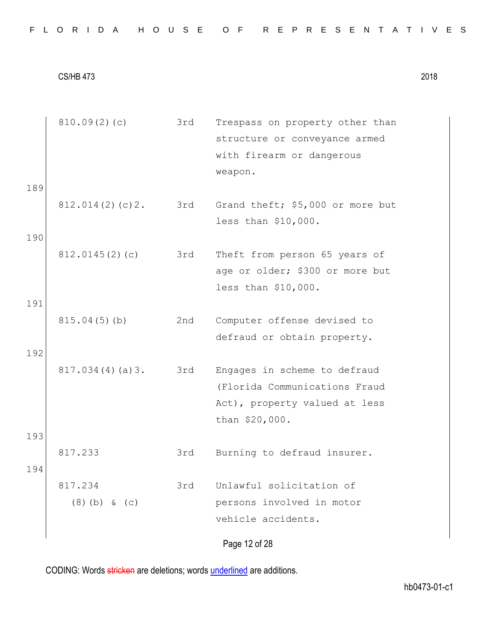| FLORIDA HOUSE OF REPRESENTATIVES |  |
|----------------------------------|--|
|----------------------------------|--|

| 810.09(2)(c)               | 3rd | Trespass on property other than<br>structure or conveyance armed<br>with firearm or dangerous<br>weapon.         |
|----------------------------|-----|------------------------------------------------------------------------------------------------------------------|
|                            |     | Grand theft; \$5,000 or more but<br>less than \$10,000.                                                          |
| 812.0145(2)(c)             | 3rd | Theft from person 65 years of<br>age or older; \$300 or more but<br>less than \$10,000.                          |
| 815.04(5)(b)               | 2nd | Computer offense devised to<br>defraud or obtain property.                                                       |
| 817.034(4)(a)3.            | 3rd | Engages in scheme to defraud<br>(Florida Communications Fraud<br>Act), property valued at less<br>than \$20,000. |
| 817.233                    | 3rd | Burning to defraud insurer.                                                                                      |
| 817.234<br>$(8)$ (b) & (c) | 3rd | Unlawful solicitation of<br>persons involved in motor<br>vehicle accidents.<br>Page 12 of 28                     |
|                            |     | 812.014(2)(c)2. 3rd                                                                                              |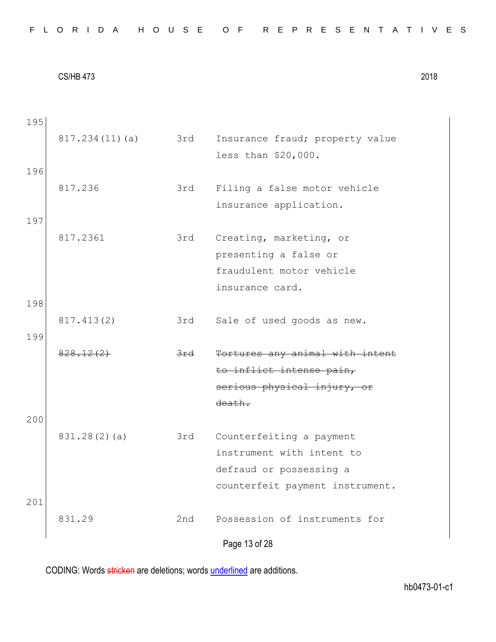Page 13 of 28 195 817.234(11)(a) 3rd Insurance fraud; property value less than \$20,000. 196 817.236 3rd Filing a false motor vehicle insurance application. 197 817.2361 3rd Creating, marketing, or presenting a false or fraudulent motor vehicle insurance card. 198 817.413(2) 3rd Sale of used goods as new. 199 828.12(2) 3rd Tortures any animal with intent to inflict intense pain, serious physical injury, or death. 200 831.28(2)(a) 3rd Counterfeiting a payment instrument with intent to defraud or possessing a counterfeit payment instrument. 201 831.29 2nd Possession of instruments for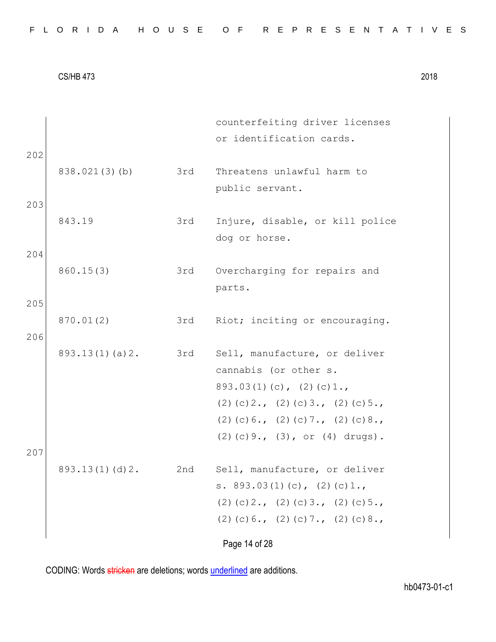| FLORIDA HOUSE OF REPRESENTATIVES |  |
|----------------------------------|--|
|----------------------------------|--|

| 202        |                |     | counterfeiting driver licenses<br>or identification cards.                                                                                                                                                        |
|------------|----------------|-----|-------------------------------------------------------------------------------------------------------------------------------------------------------------------------------------------------------------------|
|            | 838.021(3)(b)  | 3rd | Threatens unlawful harm to<br>public servant.                                                                                                                                                                     |
| 203        | 843.19         | 3rd | Injure, disable, or kill police<br>dog or horse.                                                                                                                                                                  |
| 204        | 860.15(3)      | 3rd | Overcharging for repairs and<br>parts.                                                                                                                                                                            |
| 205<br>206 | 870.01(2)      | 3rd | Riot; inciting or encouraging.                                                                                                                                                                                    |
| 207        | 893.13(1)(a)2. | 3rd | Sell, manufacture, or deliver<br>cannabis (or other s.<br>$893.03(1)(c)$ , $(2)(c)1.$<br>$(2)$ (c) 2., (2) (c) 3., (2) (c) 5.,<br>$(2)$ (c) 6., (2) (c) 7., (2) (c) 8.,<br>$(2)$ (c) 9., $(3)$ , or $(4)$ drugs). |
|            | 893.13(1)(d)2. | 2nd | Sell, manufacture, or deliver<br>s. $893.03(1)(c)$ , $(2)(c)1.$<br>$(2)$ (c) 2., (2) (c) 3., (2) (c) 5.,<br>$(2)$ (c) 6., (2) (c) 7., (2) (c) 8.,                                                                 |
|            |                |     | Page 14 of 28                                                                                                                                                                                                     |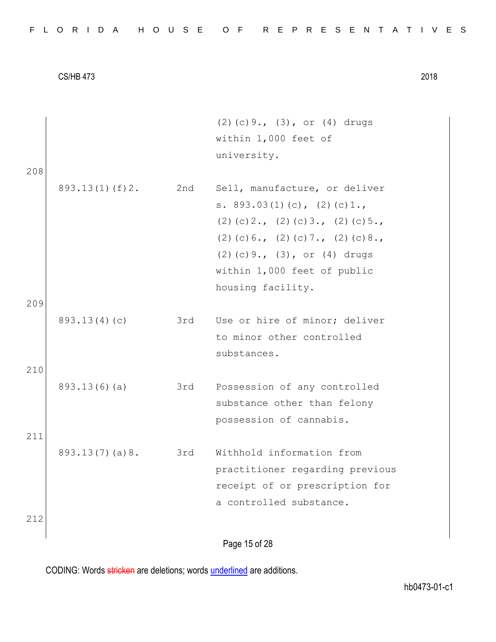|  |  |  | FLORIDA HOUSE OF REPRESENTATIVES |  |  |  |  |  |  |  |  |  |  |  |  |  |
|--|--|--|----------------------------------|--|--|--|--|--|--|--|--|--|--|--|--|--|
|  |  |  |                                  |  |  |  |  |  |  |  |  |  |  |  |  |  |

208

209

210

211

212

Page 15 of 28 (2)(c)9., (3), or (4) drugs within 1,000 feet of university. 893.13(1)(f)2. 2nd Sell, manufacture, or deliver s. 893.03(1)(c), (2)(c)1., (2)(c)2., (2)(c)3., (2)(c)5., (2)(c)  $6.$ , (2)(c)  $7.$ , (2)(c)  $8.$ , (2)(c)9., (3), or (4) drugs within 1,000 feet of public housing facility. 893.13(4)(c) 3rd Use or hire of minor; deliver to minor other controlled substances. 893.13(6)(a) 3rd Possession of any controlled substance other than felony possession of cannabis. 893.13(7)(a)8. 3rd Withhold information from practitioner regarding previous receipt of or prescription for a controlled substance.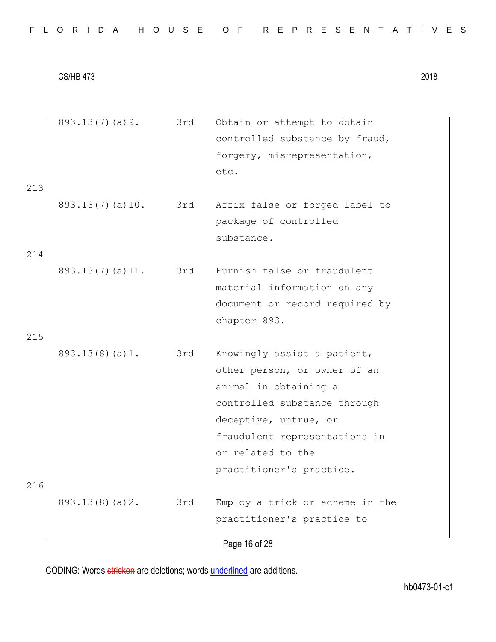| FLORIDA HOUSE OF REPRESENTATIVES |  |
|----------------------------------|--|
|----------------------------------|--|

Page 16 of 28 893.13(7)(a)9. 3rd Obtain or attempt to obtain controlled substance by fraud, forgery, misrepresentation, etc. 213 893.13(7)(a)10. 3rd Affix false or forged label to package of controlled substance. 214 893.13(7)(a)11. 3rd Furnish false or fraudulent material information on any document or record required by chapter 893. 215 893.13(8)(a)1. 3rd Knowingly assist a patient, other person, or owner of an animal in obtaining a controlled substance through deceptive, untrue, or fraudulent representations in or related to the practitioner's practice. 216 893.13(8)(a)2. 3rd Employ a trick or scheme in the practitioner's practice to

CODING: Words stricken are deletions; words underlined are additions.

hb0473-01-c1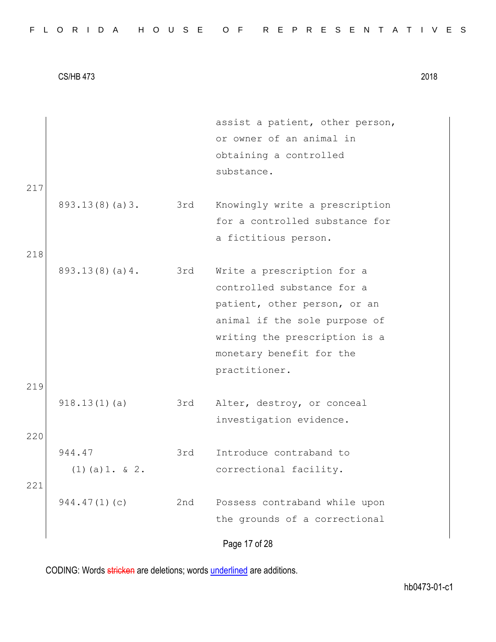| FLORIDA HOUSE OF REPRESENTATIVES |  |
|----------------------------------|--|
|----------------------------------|--|

|     |                   |     | assist a patient, other person,<br>or owner of an animal in |
|-----|-------------------|-----|-------------------------------------------------------------|
|     |                   |     | obtaining a controlled                                      |
|     |                   |     | substance.                                                  |
| 217 |                   |     |                                                             |
|     | 893.13(8)(a)3.    | 3rd | Knowingly write a prescription                              |
|     |                   |     | for a controlled substance for                              |
|     |                   |     | a fictitious person.                                        |
| 218 |                   |     |                                                             |
|     | 893.13(8)(a)4.    | 3rd | Write a prescription for a                                  |
|     |                   |     | controlled substance for a                                  |
|     |                   |     | patient, other person, or an                                |
|     |                   |     | animal if the sole purpose of                               |
|     |                   |     | writing the prescription is a                               |
|     |                   |     | monetary benefit for the                                    |
|     |                   |     | practitioner.                                               |
| 219 |                   |     |                                                             |
|     | 918.13(1)(a)      | 3rd | Alter, destroy, or conceal                                  |
|     |                   |     | investigation evidence.                                     |
| 220 |                   |     |                                                             |
|     | 944.47            | 3rd | Introduce contraband to                                     |
|     | $(1)$ (a) 1. & 2. |     | correctional facility.                                      |
| 221 |                   |     |                                                             |
|     | 944.47(1)(c)      | 2nd | Possess contraband while upon                               |
|     |                   |     | the grounds of a correctional                               |
|     |                   |     | Page 17 of 28                                               |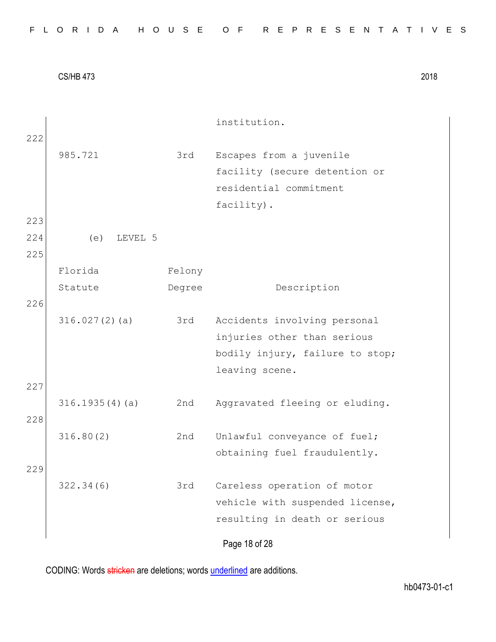|     |                |        | institution.                    |
|-----|----------------|--------|---------------------------------|
| 222 |                |        |                                 |
|     | 985.721        | 3rd    | Escapes from a juvenile         |
|     |                |        | facility (secure detention or   |
|     |                |        | residential commitment          |
|     |                |        | facility).                      |
| 223 |                |        |                                 |
| 224 | (e)<br>LEVEL 5 |        |                                 |
| 225 |                |        |                                 |
|     | Florida        | Felony |                                 |
|     | Statute        | Degree | Description                     |
| 226 |                |        |                                 |
|     | 316.027(2)(a)  | 3rd    | Accidents involving personal    |
|     |                |        | injuries other than serious     |
|     |                |        | bodily injury, failure to stop; |
|     |                |        | leaving scene.                  |
| 227 |                |        |                                 |
|     | 316.1935(4)(a) | 2nd    | Aggravated fleeing or eluding.  |
| 228 |                |        |                                 |
|     | 316.80(2)      | 2nd    | Unlawful conveyance of fuel;    |
|     |                |        | obtaining fuel fraudulently.    |
| 229 |                |        |                                 |
|     | 322.34(6)      | 3rd    | Careless operation of motor     |
|     |                |        | vehicle with suspended license, |
|     |                |        | resulting in death or serious   |
|     |                |        | Page 18 of 28                   |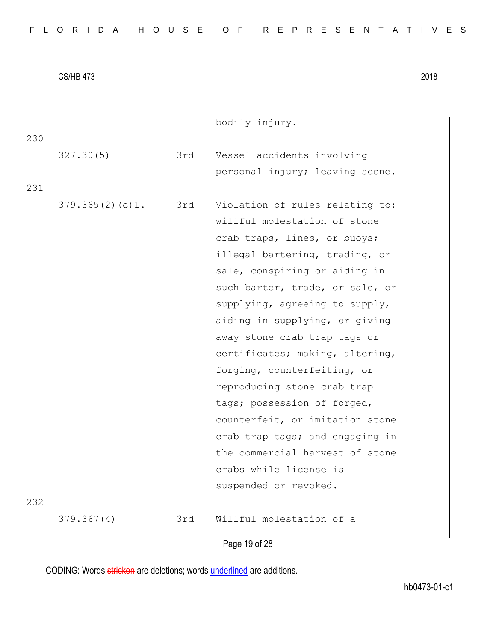| FLORIDA HOUSE OF REPRESENTATIVES |  |
|----------------------------------|--|
|----------------------------------|--|

| 230 |                 |     | bodily injury.                                                |
|-----|-----------------|-----|---------------------------------------------------------------|
|     | 327.30(5)       | 3rd | Vessel accidents involving<br>personal injury; leaving scene. |
| 231 |                 |     |                                                               |
|     | 379.365(2)(c)1. | 3rd | Violation of rules relating to:                               |
|     |                 |     | willful molestation of stone                                  |
|     |                 |     | crab traps, lines, or buoys;                                  |
|     |                 |     | illegal bartering, trading, or                                |
|     |                 |     | sale, conspiring or aiding in                                 |
|     |                 |     | such barter, trade, or sale, or                               |
|     |                 |     | supplying, agreeing to supply,                                |
|     |                 |     | aiding in supplying, or giving                                |
|     |                 |     | away stone crab trap tags or                                  |
|     |                 |     | certificates; making, altering,                               |
|     |                 |     | forging, counterfeiting, or                                   |
|     |                 |     | reproducing stone crab trap                                   |
|     |                 |     | tags; possession of forged,                                   |
|     |                 |     | counterfeit, or imitation stone                               |
|     |                 |     | crab trap tags; and engaging in                               |
|     |                 |     | the commercial harvest of stone                               |
|     |                 |     | crabs while license is                                        |
|     |                 |     | suspended or revoked.                                         |
| 232 |                 |     |                                                               |
|     | 379.367(4)      | 3rd | Willful molestation of a                                      |

Page 19 of 28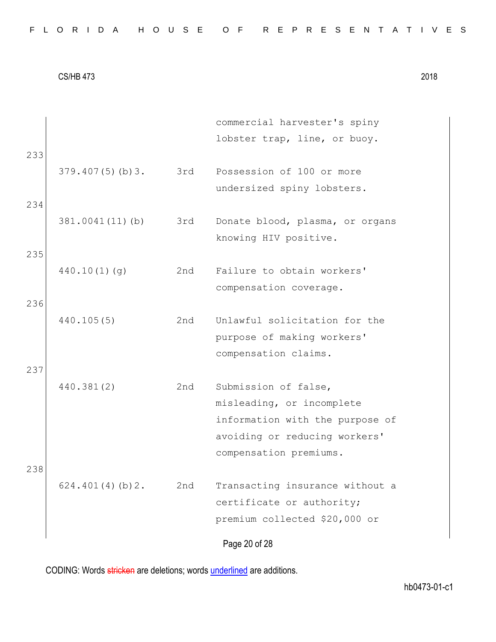| FLORIDA HOUSE OF REPRESENTATIVES |  |  |  |  |  |  |  |  |  |  |  |  |  |  |  |  |  |  |  |  |  |  |  |  |  |  |  |  |  |  |  |  |  |  |
|----------------------------------|--|--|--|--|--|--|--|--|--|--|--|--|--|--|--|--|--|--|--|--|--|--|--|--|--|--|--|--|--|--|--|--|--|--|
|----------------------------------|--|--|--|--|--|--|--|--|--|--|--|--|--|--|--|--|--|--|--|--|--|--|--|--|--|--|--|--|--|--|--|--|--|--|

|     |                 |     | commercial harvester's spiny    |
|-----|-----------------|-----|---------------------------------|
|     |                 |     | lobster trap, line, or buoy.    |
| 233 |                 |     |                                 |
|     | 379.407(5)(b)3. | 3rd | Possession of 100 or more       |
|     |                 |     | undersized spiny lobsters.      |
| 234 |                 |     |                                 |
|     | 381.0041(11)(b) | 3rd | Donate blood, plasma, or organs |
|     |                 |     | knowing HIV positive.           |
| 235 |                 |     |                                 |
|     | 440.10(1)(q)    | 2nd | Failure to obtain workers'      |
|     |                 |     | compensation coverage.          |
| 236 |                 |     |                                 |
|     | 440.105(5)      | 2nd | Unlawful solicitation for the   |
|     |                 |     | purpose of making workers'      |
|     |                 |     | compensation claims.            |
| 237 |                 |     |                                 |
|     | 440.381(2)      | 2nd | Submission of false,            |
|     |                 |     | misleading, or incomplete       |
|     |                 |     | information with the purpose of |
|     |                 |     | avoiding or reducing workers'   |
|     |                 |     | compensation premiums.          |
| 238 |                 |     |                                 |
|     | 624.401(4)(b)2. | 2nd | Transacting insurance without a |
|     |                 |     | certificate or authority;       |
|     |                 |     | premium collected \$20,000 or   |
|     |                 |     | Page 20 of 28                   |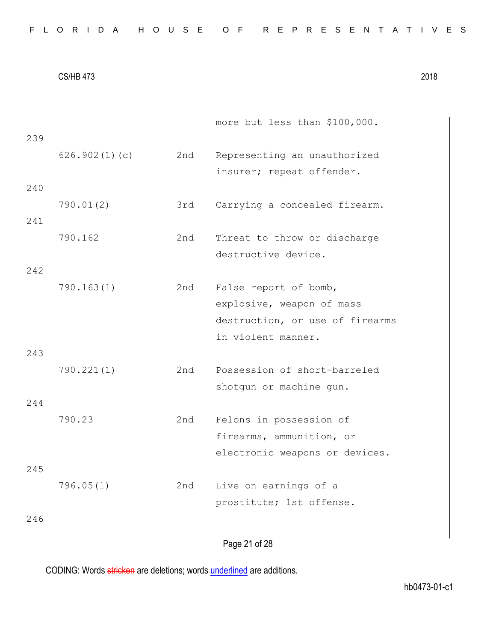| 239 |               |     | more but less than \$100,000.                             |
|-----|---------------|-----|-----------------------------------------------------------|
|     | 626.902(1)(c) | 2nd | Representing an unauthorized<br>insurer; repeat offender. |
| 240 |               |     |                                                           |
|     | 790.01(2)     | 3rd | Carrying a concealed firearm.                             |
| 241 |               |     |                                                           |
|     | 790.162       | 2nd | Threat to throw or discharge                              |
|     |               |     | destructive device.                                       |
| 242 |               |     |                                                           |
|     | 790.163(1)    | 2nd | False report of bomb,                                     |
|     |               |     | explosive, weapon of mass                                 |
|     |               |     | destruction, or use of firearms                           |
|     |               |     | in violent manner.                                        |
| 243 |               |     |                                                           |
|     | 790.221(1)    | 2nd | Possession of short-barreled                              |
|     |               |     | shotgun or machine gun.                                   |
| 244 |               |     |                                                           |
|     | 790.23        | 2nd | Felons in possession of                                   |
|     |               |     | firearms, ammunition, or                                  |
| 245 |               |     | electronic weapons or devices.                            |
|     | 796.05(1)     | 2nd | Live on earnings of a                                     |
|     |               |     | prostitute; 1st offense.                                  |
| 246 |               |     |                                                           |
|     |               |     |                                                           |
|     |               |     | Page 21 of 28                                             |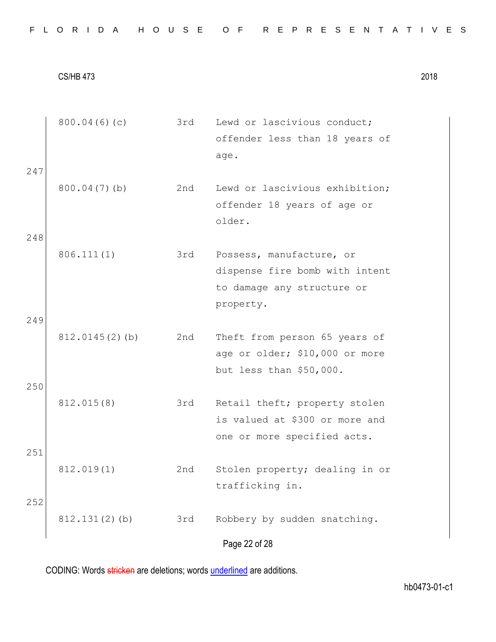|     | 800.04(6)(c)      | 3rd | Lewd or lascivious conduct;    |
|-----|-------------------|-----|--------------------------------|
|     |                   |     | offender less than 18 years of |
|     |                   |     | age.                           |
| 247 |                   |     |                                |
|     | $800.04(7)$ (b)   | 2nd | Lewd or lascivious exhibition; |
|     |                   |     | offender 18 years of age or    |
|     |                   |     | older.                         |
| 248 |                   |     |                                |
|     | 806.111(1)        | 3rd | Possess, manufacture, or       |
|     |                   |     | dispense fire bomb with intent |
|     |                   |     | to damage any structure or     |
|     |                   |     | property.                      |
| 249 |                   |     |                                |
|     | $812.0145(2)$ (b) | 2nd | Theft from person 65 years of  |
|     |                   |     | age or older; \$10,000 or more |
| 250 |                   |     | but less than \$50,000.        |
|     | 812.015(8)        | 3rd | Retail theft; property stolen  |
|     |                   |     | is valued at \$300 or more and |
|     |                   |     | one or more specified acts.    |
| 251 |                   |     |                                |
|     | 812.019(1)        | 2nd | Stolen property; dealing in or |
|     |                   |     | trafficking in.                |
| 252 |                   |     |                                |
|     | 812.131(2)(b)     | 3rd | Robbery by sudden snatching.   |
|     |                   |     | Page 22 of 28                  |
|     |                   |     |                                |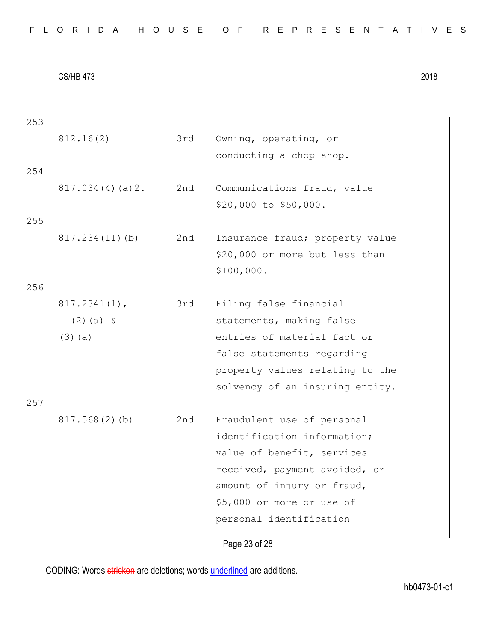| FLORIDA HOUSE OF REPRESENTATIVES |  |
|----------------------------------|--|
|----------------------------------|--|

Page 23 of 28 253 812.16(2) 3rd Owning, operating, or conducting a chop shop. 254 817.034(4)(a)2. 2nd Communications fraud, value \$20,000 to \$50,000. 255 817.234(11)(b) 2nd Insurance fraud; property value \$20,000 or more but less than \$100,000. 256 817.2341(1), (2)(a) & (3)(a) 3rd Filing false financial statements, making false entries of material fact or false statements regarding property values relating to the solvency of an insuring entity. 257 817.568(2)(b) 2nd Fraudulent use of personal identification information; value of benefit, services received, payment avoided, or amount of injury or fraud, \$5,000 or more or use of personal identification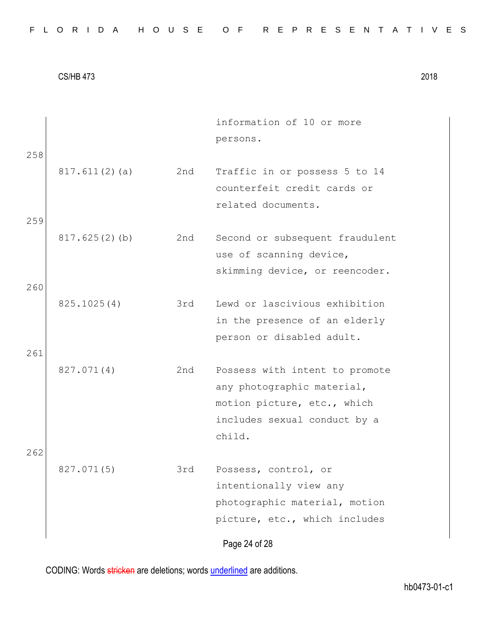|     |               |     | information of 10 or more       |
|-----|---------------|-----|---------------------------------|
|     |               |     | persons.                        |
| 258 |               |     |                                 |
|     | 817.611(2)(a) | 2nd | Traffic in or possess 5 to 14   |
|     |               |     | counterfeit credit cards or     |
|     |               |     | related documents.              |
| 259 |               |     |                                 |
|     | 817.625(2)(b) | 2nd | Second or subsequent fraudulent |
|     |               |     | use of scanning device,         |
|     |               |     | skimming device, or reencoder.  |
| 260 |               |     |                                 |
|     | 825.1025(4)   | 3rd | Lewd or lascivious exhibition   |
|     |               |     | in the presence of an elderly   |
|     |               |     | person or disabled adult.       |
| 261 |               |     |                                 |
|     | 827.071(4)    | 2nd | Possess with intent to promote  |
|     |               |     | any photographic material,      |
|     |               |     | motion picture, etc., which     |
|     |               |     | includes sexual conduct by a    |
|     |               |     | child.                          |
| 262 |               |     |                                 |
|     | 827.071(5)    | 3rd | Possess, control, or            |
|     |               |     | intentionally view any          |
|     |               |     | photographic material, motion   |
|     |               |     | picture, etc., which includes   |
|     |               |     | Page 24 of 28                   |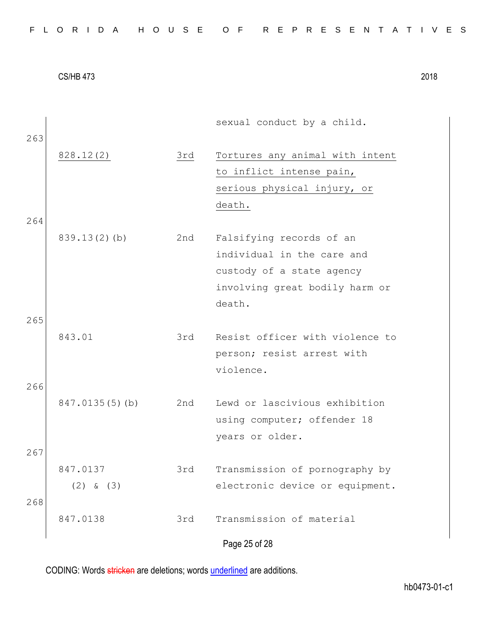|     |                 |     | sexual conduct by a child.      |
|-----|-----------------|-----|---------------------------------|
| 263 | 828.12(2)       | 3rd | Tortures any animal with intent |
|     |                 |     | to inflict intense pain,        |
|     |                 |     | serious physical injury, or     |
|     |                 |     | death.                          |
| 264 |                 |     |                                 |
|     | $839.13(2)$ (b) | 2nd | Falsifying records of an        |
|     |                 |     | individual in the care and      |
|     |                 |     | custody of a state agency       |
|     |                 |     | involving great bodily harm or  |
|     |                 |     | death.                          |
| 265 |                 |     |                                 |
|     | 843.01          | 3rd | Resist officer with violence to |
|     |                 |     | person; resist arrest with      |
|     |                 |     | violence.                       |
| 266 |                 |     |                                 |
|     | 847.0135(5)(b)  | 2nd | Lewd or lascivious exhibition   |
|     |                 |     | using computer; offender 18     |
|     |                 |     | years or older.                 |
| 267 |                 |     |                                 |
|     | 847.0137        | 3rd | Transmission of pornography by  |
|     | $(2)$ & $(3)$   |     | electronic device or equipment. |
| 268 |                 |     |                                 |
|     | 847.0138        | 3rd | Transmission of material        |
|     |                 |     | Page 25 of 28                   |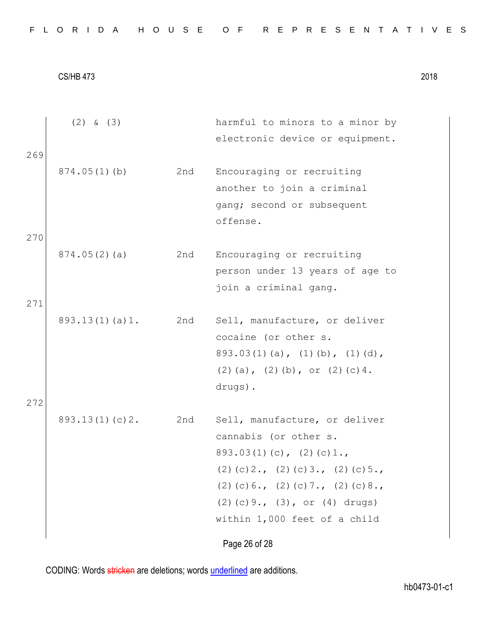|     | $(2)$ & $(3)$  |     | harmful to minors to a minor by<br>electronic device or equipment.                                                                                                                                                                               |
|-----|----------------|-----|--------------------------------------------------------------------------------------------------------------------------------------------------------------------------------------------------------------------------------------------------|
| 269 | 874.05(1)(b)   | 2nd | Encouraging or recruiting<br>another to join a criminal<br>gang; second or subsequent<br>offense.                                                                                                                                                |
| 270 | 874.05(2)(a)   | 2nd | Encouraging or recruiting<br>person under 13 years of age to<br>join a criminal gang.                                                                                                                                                            |
| 271 | 893.13(1)(a)1. | 2nd | Sell, manufacture, or deliver<br>cocaine (or other s.<br>$893.03(1)(a)$ , $(1)(b)$ , $(1)(d)$ ,<br>$(2)$ (a), $(2)$ (b), or $(2)$ (c) 4.<br>drugs).                                                                                              |
| 272 | 893.13(1)(c)2. | 2nd | Sell, manufacture, or deliver<br>cannabis (or other s.<br>$893.03(1)(c)$ , $(2)(c)1.$<br>$(2)$ (c) 2., (2) (c) 3., (2) (c) 5.,<br>$(2)$ (c) 6., (2) (c) 7., (2) (c) 8.,<br>$(2)$ (c) 9., $(3)$ , or $(4)$ drugs)<br>within 1,000 feet of a child |
|     |                |     | Page 26 of 28                                                                                                                                                                                                                                    |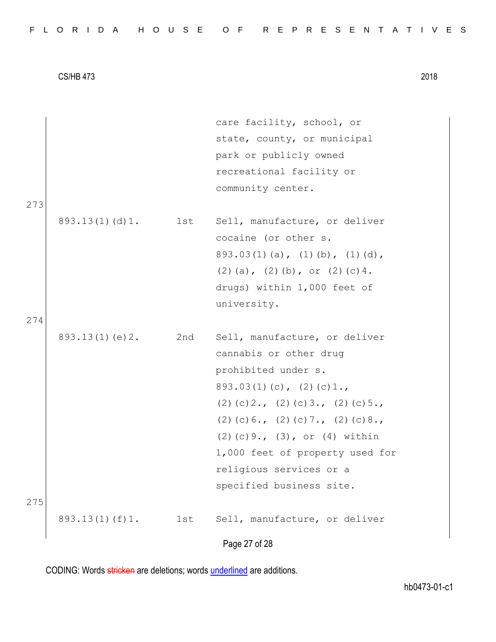|  |  |  |  |  |  |  |  | FLORIDA HOUSE OF REPRESENTATIVES |  |  |  |  |  |  |  |  |  |  |  |  |  |  |  |  |  |  |  |  |  |  |  |  |  |  |
|--|--|--|--|--|--|--|--|----------------------------------|--|--|--|--|--|--|--|--|--|--|--|--|--|--|--|--|--|--|--|--|--|--|--|--|--|--|
|--|--|--|--|--|--|--|--|----------------------------------|--|--|--|--|--|--|--|--|--|--|--|--|--|--|--|--|--|--|--|--|--|--|--|--|--|--|

|     |                |     | care facility, school, or              |
|-----|----------------|-----|----------------------------------------|
|     |                |     | state, county, or municipal            |
|     |                |     | park or publicly owned                 |
|     |                |     | recreational facility or               |
|     |                |     | community center.                      |
| 273 |                |     |                                        |
|     | 893.13(1)(d)1. | 1st | Sell, manufacture, or deliver          |
|     |                |     | cocaine (or other s.                   |
|     |                |     | $893.03(1)(a)$ , $(1)(b)$ , $(1)(d)$ , |
|     |                |     | $(2)$ (a), $(2)$ (b), or $(2)$ (c) 4.  |
|     |                |     | drugs) within 1,000 feet of            |
|     |                |     | university.                            |
| 274 |                |     |                                        |
|     | 893.13(1)(e)2. | 2nd | Sell, manufacture, or deliver          |
|     |                |     | cannabis or other drug                 |
|     |                |     | prohibited under s.                    |
|     |                |     | $893.03(1)(c)$ , $(2)(c)1.$            |
|     |                |     | $(2)$ (c) 2., (2) (c) 3., (2) (c) 5.,  |
|     |                |     | $(2)$ (c) 6., (2) (c) 7., (2) (c) 8.,  |
|     |                |     | $(2)$ (c) 9., $(3)$ , or $(4)$ within  |
|     |                |     | 1,000 feet of property used for        |
|     |                |     | religious services or a                |
|     |                |     | specified business site.               |
| 275 |                |     |                                        |
|     | 893.13(1)(f)1. | 1st | Sell, manufacture, or deliver          |
|     |                |     |                                        |
|     |                |     | Page 27 of 28                          |